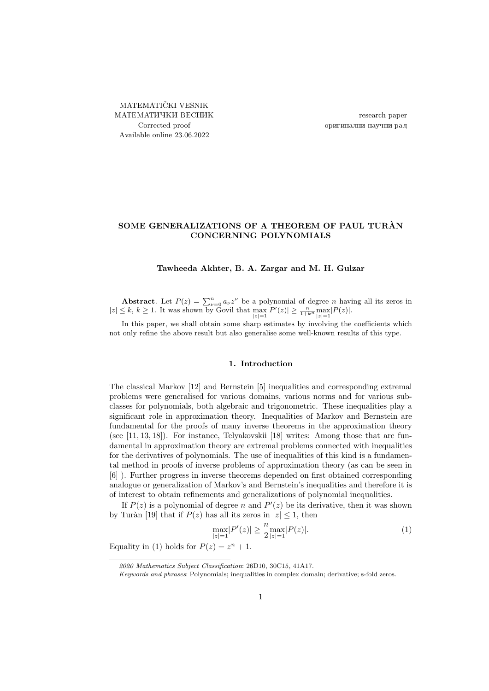MATEMATIČKI VESNIK МАТЕМАТИЧКИ ВЕСНИК Corrected proof Available online 23.06.2022

research paper оригинални научни рад

# SOME GENERALIZATIONS OF A THEOREM OF PAUL TURAN CONCERNING POLYNOMIALS

#### Tawheeda Akhter, B. A. Zargar and M. H. Gulzar

**Abstract**. Let  $P(z) = \sum_{\nu=0}^{n} a_{\nu} z^{\nu}$  be a polynomial of degree *n* having all its zeros in  $|z| \leq k, k \geq 1$ . It was shown by Govil that  $\max_{|z|=1} |P'(z)| \geq \frac{n}{1+k^n} \max_{|z|=1} |P(z)|$ .

In this paper, we shall obtain some sharp estimates by involving the coefficients which not only refine the above result but also generalise some well-known results of this type.

## 1. Introduction

The classical Markov [\[12\]](#page-8-0) and Bernstein [\[5\]](#page-7-0) inequalities and corresponding extremal problems were generalised for various domains, various norms and for various subclasses for polynomials, both algebraic and trigonometric. These inequalities play a significant role in approximation theory. Inequalities of Markov and Bernstein are fundamental for the proofs of many inverse theorems in the approximation theory (see [\[11,](#page-7-1) [13,](#page-8-1) [18\]](#page-8-2)). For instance, Telyakovskii [\[18\]](#page-8-2) writes: Among those that are fundamental in approximation theory are extremal problems connected with inequalities for the derivatives of polynomials. The use of inequalities of this kind is a fundamental method in proofs of inverse problems of approximation theory (as can be seen in [\[6\]](#page-7-2) ). Further progress in inverse theorems depended on first obtained corresponding analogue or generalization of Markov's and Bernstein's inequalities and therefore it is of interest to obtain refinements and generalizations of polynomial inequalities.

If  $P(z)$  is a polynomial of degree n and  $P'(z)$  be its derivative, then it was shown by Turàn [\[19\]](#page-8-3) that if  $P(z)$  has all its zeros in  $|z| \leq 1$ , then

<span id="page-0-0"></span>
$$
\max_{|z|=1} |P'(z)| \ge \frac{n}{2} \max_{|z|=1} |P(z)|. \tag{1}
$$

Equality in [\(1\)](#page-0-0) holds for  $P(z) = z^n + 1$ .

<sup>2020</sup> Mathematics Subject Classification: 26D10, 30C15, 41A17.

Keywords and phrases: Polynomials; inequalities in complex domain; derivative; s-fold zeros.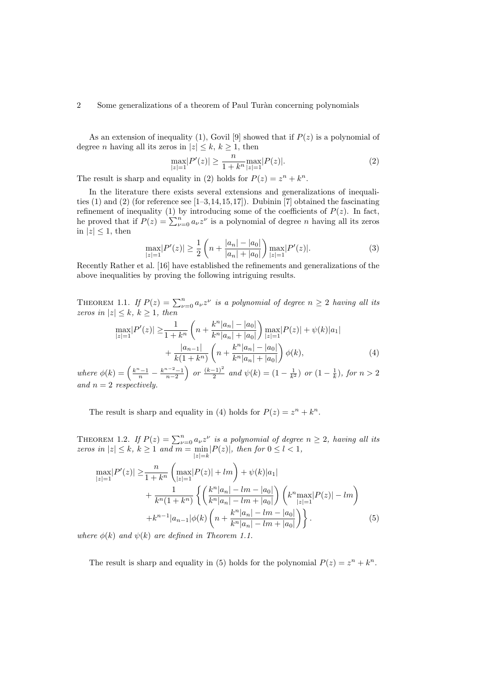## 2 Some generalizations of a theorem of Paul Turàn concerning polynomials

As an extension of inequality [\(1\)](#page-0-0), Govil [\[9\]](#page-7-3) showed that if  $P(z)$  is a polynomial of degree *n* having all its zeros in  $|z| \leq k, k \geq 1$ , then

<span id="page-1-4"></span><span id="page-1-0"></span>
$$
\max_{|z|=1} |P'(z)| \ge \frac{n}{1+k^n} \max_{|z|=1} |P(z)|. \tag{2}
$$

The result is sharp and equality in [\(2\)](#page-1-0) holds for  $P(z) = z^n + k^n$ .

In the literature there exists several extensions and generalizations of inequalities  $(1)$  and  $(2)$  (for reference see  $[1-3, 14, 15, 17]$  $[1-3, 14, 15, 17]$  $[1-3, 14, 15, 17]$  $[1-3, 14, 15, 17]$  $[1-3, 14, 15, 17]$  $[1-3, 14, 15, 17]$  $[1-3, 14, 15, 17]$ ). Dubinin  $[7]$  obtained the fascinating refinement of inequality [\(1\)](#page-0-0) by introducing some of the coefficients of  $P(z)$ . In fact, he proved that if  $P(z) = \sum_{\nu=0}^{n} a_{\nu} z^{\nu}$  is a polynomial of degree *n* having all its zeros in  $|z| \leq 1$ , then

<span id="page-1-1"></span>
$$
\max_{|z|=1} |P'(z)| \ge \frac{1}{2} \left( n + \frac{|a_n| - |a_0|}{|a_n| + |a_0|} \right) \max_{|z|=1} |P'(z)|. \tag{3}
$$

Recently Rather et al. [\[16\]](#page-8-7) have established the refinements and generalizations of the above inequalities by proving the following intriguing results.

<span id="page-1-2"></span>THEOREM 1.1. If  $P(z) = \sum_{\nu=0}^{n} a_{\nu} z^{\nu}$  is a polynomial of degree  $n \ge 2$  having all its zeros in  $|z| \leq k, k \geq 1$ , then

$$
\max_{|z|=1} |P'(z)| \ge \frac{1}{1+k^n} \left( n + \frac{k^n |a_n| - |a_0|}{k^n |a_n| + |a_0|} \right) \max_{|z|=1} |P(z)| + \psi(k)|a_1| + \frac{|a_{n-1}|}{k(1+k^n)} \left( n + \frac{k^n |a_n| - |a_0|}{k^n |a_n| + |a_0|} \right) \phi(k),\tag{4}
$$

where  $\phi(k) = \left(\frac{k^n-1}{n} - \frac{k^{n-2}-1}{n-2}\right)$  or  $\frac{(k-1)^2}{2}$  $\frac{(n-1)^2}{2}$  and  $\psi(k) = (1 - \frac{1}{k^2})$  or  $(1 - \frac{1}{k})$ , for  $n > 2$ and  $n = 2$  respectively.

The result is sharp and equality in [\(4\)](#page-1-1) holds for  $P(z) = z^n + k^n$ .

<span id="page-1-5"></span>THEOREM 1.2. If  $P(z) = \sum_{\nu=0}^{n} a_{\nu} z^{\nu}$  is a polynomial of degree  $n \geq 2$ , having all its zeros in  $|z| \leq k$ ,  $k \geq 1$  and  $m = \min_{|z|=k} |P(z)|$ , then for  $0 \leq l < 1$ ,

<span id="page-1-3"></span>
$$
\max_{|z|=1} |P'(z)| \ge \frac{n}{1+k^n} \left( \max_{|z|=1} |P(z)| + lm \right) + \psi(k)|a_1| + \frac{1}{k^n (1+k^n)} \left\{ \left( \frac{k^n |a_n| - lm - |a_0|}{k^n |a_n| - lm + |a_0|} \right) \left( k^n \max_{|z|=1} |P(z)| - lm \right) + k^{n-1} |a_{n-1}| \phi(k) \left( n + \frac{k^n |a_n| - lm - |a_0|}{k^n |a_n| - lm + |a_0|} \right) \right\}.
$$
\n(5)

where  $\phi(k)$  and  $\psi(k)$  are defined in Theorem [1.1.](#page-1-2)

The result is sharp and equality in [\(5\)](#page-1-3) holds for the polynomial  $P(z) = z<sup>n</sup> + k<sup>n</sup>$ .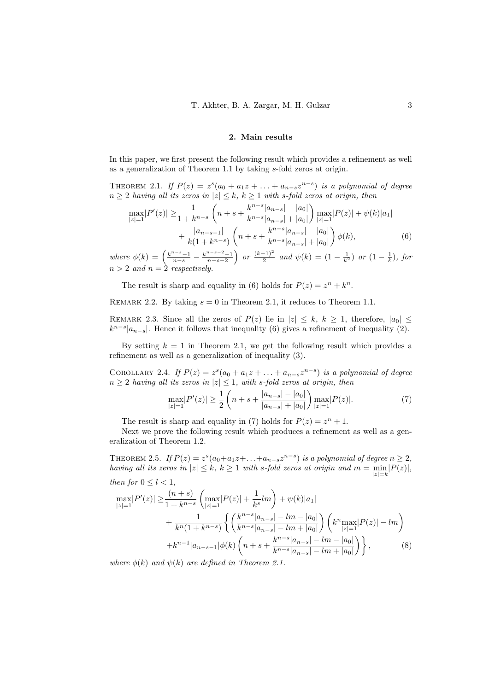### <span id="page-2-0"></span>2. Main results

In this paper, we first present the following result which provides a refinement as well as a generalization of Theorem [1.1](#page-1-2) by taking s-fold zeros at origin.

<span id="page-2-1"></span>THEOREM 2.1. If  $P(z) = z^{s}(a_0 + a_1z + ... + a_{n-s}z^{n-s})$  is a polynomial of degree  $n > 2$  having all its zeros in  $|z| \leq k, k > 1$  with s-fold zeros at origin, then

$$
\max_{|z|=1} |P'(z)| \ge \frac{1}{1+k^{n-s}} \left( n+s + \frac{k^{n-s}|a_{n-s}|-|a_0|}{k^{n-s}|a_{n-s}|+|a_0|} \right) \max_{|z|=1} |P(z)| + \psi(k)|a_1| + \frac{|a_{n-s-1}|}{k(1+k^{n-s})} \left( n+s + \frac{k^{n-s}|a_{n-s}|-|a_0|}{k^{n-s}|a_{n-s}|+|a_0|} \right) \phi(k),\tag{6}
$$

where  $\phi(k) = \left(\frac{k^{n-s}-1}{n-s} - \frac{k^{n-s}-2}{n-s-2}\right)$  or  $\frac{(k-1)^2}{2}$  $\frac{(-1)^2}{2}$  and  $\psi(k) = (1 - \frac{1}{k^2})$  or  $(1 - \frac{1}{k})$ , for  $n > 2$  and  $n = 2$  respectively.

The result is sharp and equality in [\(6\)](#page-2-0) holds for  $P(z) = z^n + k^n$ .

REMARK 2.2. By taking  $s = 0$  in Theorem [2.1,](#page-2-1) it reduces to Theorem [1.1.](#page-1-2)

REMARK 2.3. Since all the zeros of  $P(z)$  lie in  $|z| \leq k, k \geq 1$ , therefore,  $|a_0| \leq$  $k^{n-s}|a_{n-s}|$ . Hence it follows that inequality [\(6\)](#page-2-0) gives a refinement of inequality [\(2\)](#page-1-0).

By setting  $k = 1$  in Theorem [2.1,](#page-2-1) we get the following result which provides a refinement as well as a generalization of inequality [\(3\)](#page-1-4).

COROLLARY 2.4. If  $P(z) = z^s(a_0 + a_1z + \ldots + a_{n-s}z^{n-s})$  is a polynomial of degree  $n \geq 2$  having all its zeros in  $|z| \leq 1$ , with s-fold zeros at origin, then

<span id="page-2-3"></span><span id="page-2-2"></span>
$$
\max_{|z|=1} |P'(z)| \ge \frac{1}{2} \left( n + s + \frac{|a_{n-s}| - |a_0|}{|a_{n-s}| + |a_0|} \right) \max_{|z|=1} |P(z)|. \tag{7}
$$

The result is sharp and equality in [\(7\)](#page-2-2) holds for  $P(z) = z<sup>n</sup> + 1$ .

Next we prove the following result which produces a refinement as well as a generalization of Theorem [1.2.](#page-1-5)

<span id="page-2-4"></span>THEOREM 2.5. If  $P(z) = z^s(a_0 + a_1 z + \ldots + a_{n-s} z^{n-s})$  is a polynomial of degree  $n \geq 2$ , having all its zeros in  $|z| \leq k$ ,  $k \geq 1$  with s-fold zeros at origin and  $m = \min_{|z|=k} |P(z)|$ , then for  $0 \leq l \leq 1$ ,

$$
\max_{|z|=1} |P'(z)| \ge \frac{(n+s)}{1+k^{n-s}} \left( \max_{|z|=1} |P(z)| + \frac{1}{k^s} lm \right) + \psi(k)|a_1| + \frac{1}{k^n (1+k^{n-s})} \left\{ \left( \frac{k^{n-s} |a_{n-s}| - lm - |a_0|}{k^{n-s} |a_{n-s}| - lm + |a_0|} \right) \left( k^n \max_{|z|=1} |P(z)| - lm \right) + k^{n-1} |a_{n-s-1}| \phi(k) \left( n+s + \frac{k^{n-s} |a_{n-s}| - lm - |a_0|}{k^{n-s} |a_{n-s}| - lm + |a_0|} \right) \right\},
$$
\n(8)

where  $\phi(k)$  and  $\psi(k)$  are defined in Theorem [2.1.](#page-2-1)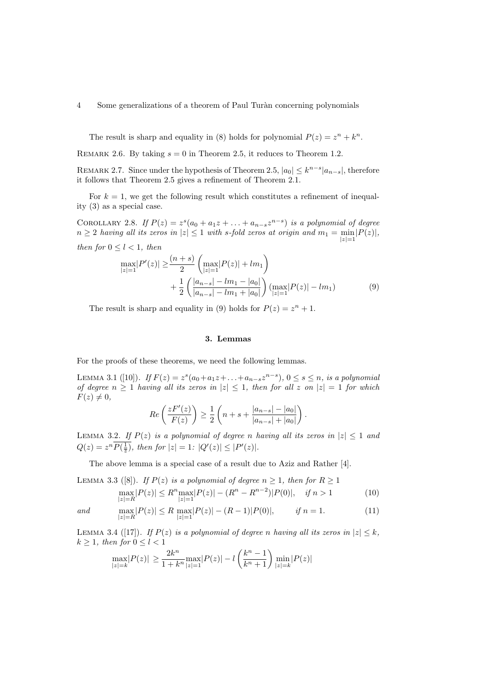4 Some generalizations of a theorem of Paul Turàn concerning polynomials

The result is sharp and equality in [\(8\)](#page-2-3) holds for polynomial  $P(z) = z^n + k^n$ .

REMARK 2.6. By taking  $s = 0$  in Theorem [2.5,](#page-2-4) it reduces to Theorem [1.2.](#page-1-5)

REMARK 2.7. Since under the hypothesis of Theorem [2.5,](#page-2-4)  $|a_0| \leq k^{n-s} |a_{n-s}|$ , therefore it follows that Theorem [2.5](#page-2-4) gives a refinement of Theorem [2.1.](#page-2-1)

For  $k = 1$ , we get the following result which constitutes a refinement of inequality [\(3\)](#page-1-4) as a special case.

COROLLARY 2.8. If  $P(z) = z^s(a_0 + a_1z + \ldots + a_{n-s}z^{n-s})$  is a polynomial of degree  $n \geq 2$  having all its zeros in  $|z| \leq 1$  with s-fold zeros at origin and  $m_1 = \min_{|z|=1} |P(z)|$ , then for  $0 \leq l \leq 1$ , then

$$
\max_{|z|=1} |P'(z)| \ge \frac{(n+s)}{2} \left( \max_{|z|=1} |P(z)| + lm_1 \right) + \frac{1}{2} \left( \frac{|a_{n-s}| - lm_1 - |a_0|}{|a_{n-s}| - lm_1 + |a_0|} \right) \left( \max_{|z|=1} |P(z)| - lm_1 \right) \tag{9}
$$

The result is sharp and equality in [\(9\)](#page-3-0) holds for  $P(z) = z<sup>n</sup> + 1$ .

### <span id="page-3-5"></span><span id="page-3-2"></span><span id="page-3-0"></span>3. Lemmas

For the proofs of these theorems, we need the following lemmas.

<span id="page-3-1"></span>LEMMA 3.1 ([\[10\]](#page-7-7)). If  $F(z) = z^s(a_0 + a_1z + ... + a_{n-s}z^{n-s})$ ,  $0 \le s \le n$ , is a polynomial of degree  $n \geq 1$  having all its zeros in  $|z| \leq 1$ , then for all z on  $|z| = 1$  for which  $F(z) \neq 0,$ 

$$
Re\left(\frac{zF'(z)}{F(z)}\right) \ge \frac{1}{2}\left(n+s+\frac{|a_{n-s}|-|a_0|}{|a_{n-s}|+|a_0|}\right).
$$

LEMMA 3.2. If  $P(z)$  is a polynomial of degree n having all its zeros in  $|z| \leq 1$  and  $Q(z) = z^n P(\frac{1}{z}), \text{ then for } |z| = 1: |Q'(z)| \leq |P'(z)|.$ 

The above lemma is a special case of a result due to Aziz and Rather [\[4\]](#page-7-8).

<span id="page-3-3"></span>LEMMA 3.3 ([\[8\]](#page-7-9)). If  $P(z)$  is a polynomial of degree  $n \geq 1$ , then for  $R \geq 1$ 

$$
\max_{|z|=R} |P(z)| \le R^n \max_{|z|=1} |P(z)| - (R^n - R^{n-2})|P(0)|, \quad \text{if } n > 1 \tag{10}
$$

and  $\max_{|z|=R} |P(z)| \leq R \max_{|z|=1} |P(z)| - (R-1)|P(0)|, \quad \text{if } n=1.$  (11)

<span id="page-3-4"></span>LEMMA 3.4 ([\[17\]](#page-8-6)). If  $P(z)$  is a polynomial of degree n having all its zeros in  $|z| \leq k$ ,  $k \geq 1$ , then for  $0 \leq l \leq 1$ 

$$
\max_{|z|=k} |P(z)| \ge \frac{2k^n}{1+k^n} \max_{|z|=1} |P(z)| - l \left(\frac{k^n-1}{k^n+1}\right) \min_{|z|=k} |P(z)|
$$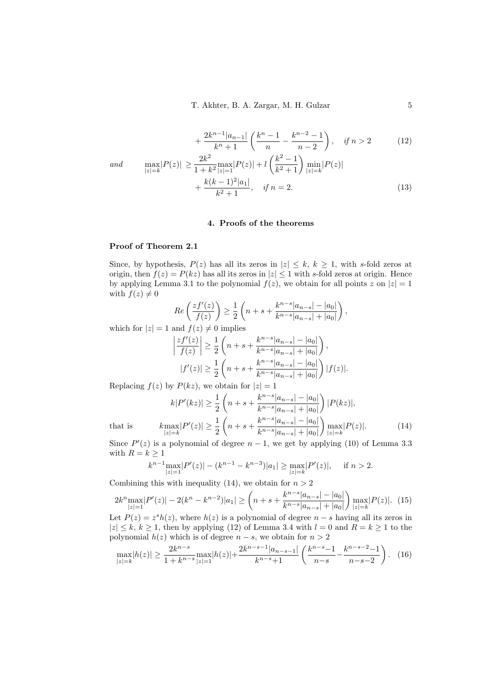<span id="page-4-1"></span>
$$
\frac{2k^{n-1}|a_{n-1}|}{k^n+1} \left(\frac{k^n-1}{n}-\frac{k^{n-2}-1}{n-2}\right), \quad \text{if } n>2 \tag{12}
$$

and 
$$
\max_{|z|=k} |P(z)| \ge \frac{2k^2}{1+k^2} \max_{|z|=1} |P(z)| + l \left(\frac{k^2-1}{k^2+1}\right) \min_{|z|=k} |P(z)| + \frac{k(k-1)^2|a_1|}{k^2+1}, \quad \text{if } n=2.
$$
 (13)

#### <span id="page-4-4"></span>4. Proofs of the theorems

## Proof of Theorem [2.1](#page-2-1)

Since, by hypothesis,  $P(z)$  has all its zeros in  $|z| \leq k, k \geq 1$ , with s-fold zeros at origin, then  $f(z) = P(kz)$  has all its zeros in  $|z| \leq 1$  with s-fold zeros at origin. Hence by applying Lemma [3.1](#page-3-1) to the polynomial  $f(z)$ , we obtain for all points z on  $|z|=1$ with  $f(z) \neq 0$ 

$$
Re\left(\frac{zf'(z)}{f(z)}\right) \ge \frac{1}{2}\left(n+s+\frac{k^{n-s}|a_{n-s}|-|a_0|}{k^{n-s}|a_{n-s}|+|a_0|}\right),
$$

which for  $|z| = 1$  and  $f(z) \neq 0$  implies

<span id="page-4-0"></span>
$$
\left|\frac{zf'(z)}{f(z)}\right| \ge \frac{1}{2}\left(n+s+\frac{k^{n-s}|a_{n-s}|-|a_0|}{k^{n-s}|a_{n-s}|+|a_0|}\right),
$$
  

$$
|f'(z)| \ge \frac{1}{2}\left(n+s+\frac{k^{n-s}|a_{n-s}|-|a_0|}{k^{n-s}|a_{n-s}|+|a_0|}\right)|f(z)|.
$$

Replacing  $f(z)$  by  $P(kz)$ , we obtain for  $|z|=1$ 

 $^{+}$ 

$$
k|P'(kz)| \ge \frac{1}{2} \left( n + s + \frac{k^{n-s}|a_{n-s}| - |a_0|}{k^{n-s}|a_{n-s}| + |a_0|} \right) |P(kz)|,
$$
  

$$
k \max_{|z|=k} |P'(z)| \ge \frac{1}{2} \left( n + s + \frac{k^{n-s}|a_{n-s}| - |a_0|}{k^{n-s}|a_{n-s}| + |a_0|} \right) \max_{|z|=k} |P(z)|.
$$
 (14)

that is

Since  $P'(z)$  is a polynomial of degree  $n-1$ , we get by applying [\(10\)](#page-3-2) of Lemma [3.3](#page-3-3) with  $R = k \geq 1$ 

<span id="page-4-3"></span><span id="page-4-2"></span>
$$
k^{n-1} \max_{|z|=1} |P'(z)| - (k^{n-1} - k^{n-3})|a_1| \ge \max_{|z|=k} |P'(z)|, \quad \text{ if } n > 2.
$$

Combining this with inequality [\(14\)](#page-4-0), we obtain for  $n > 2$ 

$$
2k^{n} \max_{|z|=1} |P'(z)| - 2(k^{n} - k^{n-2})|a_{1}| \ge \left(n + s + \frac{k^{n-s}|a_{n-s}| - |a_{0}|}{k^{n-s}|a_{n-s}| + |a_{0}|}\right) \max_{|z|=k} |P(z)|. \tag{15}
$$

Let  $P(z) = z^{s}h(z)$ , where  $h(z)$  is a polynomial of degree  $n - s$  having all its zeros in  $|z| \le k, k \ge 1$ , then by applying [\(12\)](#page-4-1) of Lemma [3.4](#page-3-4) with  $l = 0$  and  $R = k \ge 1$  to the polynomial  $h(z)$  which is of degree  $n - s$ , we obtain for  $n > 2$ 

$$
\max_{|z|=k} |h(z)| \ge \frac{2k^{n-s}}{1+k^{n-s}} \max_{|z|=1} |h(z)| + \frac{2k^{n-s-1}|a_{n-s-1}|}{k^{n-s}+1} \left(\frac{k^{n-s}-1}{n-s} - \frac{k^{n-s}-2}{n-s-2}\right). \tag{16}
$$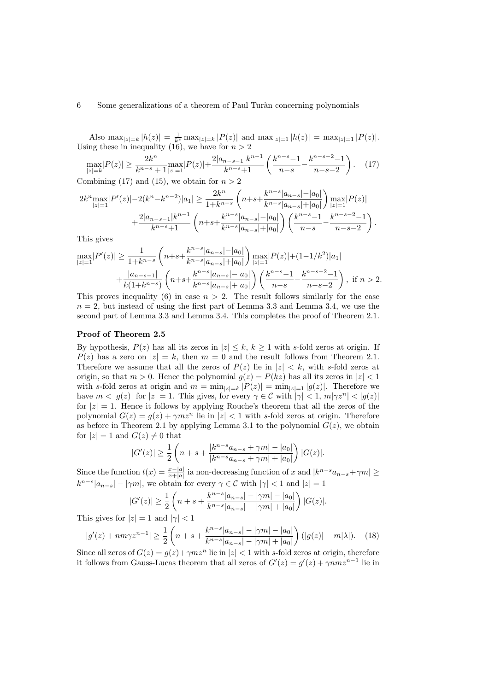### 6 Some generalizations of a theorem of Paul Turàn concerning polynomials

Also  $\max_{|z|=k} |h(z)| = \frac{1}{k^s} \max_{|z|=k} |P(z)|$  and  $\max_{|z|=1} |h(z)| = \max_{|z|=1} |P(z)|$ . Using these in inequality [\(16\)](#page-4-2), we have for  $n > 2$ 

<span id="page-5-0"></span>
$$
\max_{|z|=k} |P(z)| \ge \frac{2k^n}{k^{n-s}+1} \max_{|z|=1} |P(z)| + \frac{2|a_{n-s-1}|k^{n-1}}{k^{n-s}+1} \left(\frac{k^{n-s}-1}{n-s} - \frac{k^{n-s}-2}{n-s-2}\right). \tag{17}
$$

Combining [\(17\)](#page-5-0) and [\(15\)](#page-4-3), we obtain for  $n > 2$ 

$$
2k^{n} \max_{|z|=1} |P'(z)| - 2(k^{n} - k^{n-2})|a_1| \ge \frac{2k^{n}}{1 + k^{n-s}} \left( n + s + \frac{k^{n-s}|a_{n-s}| - |a_0|}{k^{n-s}|a_{n-s}| + |a_0|} \right) \max_{|z|=1} |P(z)| + \frac{2|a_{n-s-1}|k^{n-1}}{k^{n-s} + 1} \left( n + s + \frac{k^{n-s}|a_{n-s}| - |a_0|}{k^{n-s}|a_{n-s}| + |a_0|} \right) \left( \frac{k^{n-s} - 1}{n-s} - \frac{k^{n-s-2} - 1}{n-s-2} \right).
$$

This gives

$$
\max_{|z|=1} |P'(z)| \ge \frac{1}{1+k^{n-s}} \left( n+s + \frac{k^{n-s}|a_{n-s}|-|a_0|}{k^{n-s}|a_{n-s}|+|a_0|} \right) \max_{|z|=1} |P(z)| + (1-1/k^2)|a_1| + \frac{|a_{n-s-1}|}{k(1+k^{n-s})} \left( n+s + \frac{k^{n-s}|a_{n-s}|-|a_0|}{k^{n-s}|a_{n-s}|+|a_0|} \right) \left( \frac{k^{n-s}-1}{n-s} - \frac{k^{n-s}-2}{n-s-2} \right), \text{ if } n > 2.
$$

This proves inequality [\(6\)](#page-2-0) in case  $n > 2$ . The result follows similarly for the case  $n = 2$ , but instead of using the first part of Lemma [3.3](#page-3-3) and Lemma [3.4,](#page-3-4) we use the second part of Lemma [3.3](#page-3-3) and Lemma [3.4.](#page-3-4) This completes the proof of Theorem [2.1.](#page-2-1)

## Proof of Theorem [2.5](#page-2-4)

By hypothesis,  $P(z)$  has all its zeros in  $|z| \leq k, k \geq 1$  with s-fold zeros at origin. If  $P(z)$  has a zero on  $|z| = k$ , then  $m = 0$  and the result follows from Theorem [2.1.](#page-2-1) Therefore we assume that all the zeros of  $P(z)$  lie in  $|z| < k$ , with s-fold zeros at origin, so that  $m > 0$ . Hence the polynomial  $g(z) = P(kz)$  has all its zeros in  $|z| < 1$ with s-fold zeros at origin and  $m = \min_{|z|=k} |P(z)| = \min_{|z|=1} |g(z)|$ . Therefore we have  $m < |g(z)|$  for  $|z| = 1$ . This gives, for every  $\gamma \in \mathcal{C}$  with  $|\gamma| < 1$ ,  $m|\gamma z^n| < |g(z)|$ for  $|z| = 1$ . Hence it follows by applying Rouche's theorem that all the zeros of the polynomial  $G(z) = g(z) + \gamma m z^n$  lie in  $|z| < 1$  with s-fold zeros at origin. Therefore as before in Theorem [2.1](#page-2-1) by applying Lemma [3.1](#page-3-1) to the polynomial  $G(z)$ , we obtain for  $|z| = 1$  and  $G(z) \neq 0$  that

$$
|G'(z)| \ge \frac{1}{2} \left( n + s + \frac{|k^{n-s}a_{n-s} + \gamma m| - |a_0|}{|k^{n-s}a_{n-s} + \gamma m| + |a_0|} \right) |G(z)|.
$$

Since the function  $t(x) = \frac{x-|a|}{x+|a|}$  ia non-decreasing function of x and  $|k^{n-s}a_{n-s}+\gamma m| \ge$  $k^{n-s}|a_{n-s}| - |\gamma m|$ , we obtain for every  $\gamma \in \mathcal{C}$  with  $|\gamma| < 1$  and  $|z| = 1$ 

<span id="page-5-1"></span>
$$
|G'(z)| \ge \frac{1}{2} \left( n + s + \frac{k^{n-s}|a_{n-s}| - |\gamma m| - |a_0|}{k^{n-s}|a_{n-s}| - |\gamma m| + |a_0|} \right) |G(z)|.
$$

This gives for  $|z|=1$  and  $|\gamma|<1$ 

$$
|g'(z) + nm\gamma z^{n-1}| \ge \frac{1}{2} \left( n + s + \frac{k^{n-s}|a_{n-s}| - |\gamma m| - |a_0|}{k^{n-s}|a_{n-s}| - |\gamma m| + |a_0|} \right) (|g(z)| - m|\lambda|). \tag{18}
$$

Since all zeros of  $G(z) = q(z) + \gamma m z^n$  lie in  $|z| < 1$  with s-fold zeros at origin, therefore it follows from Gauss-Lucas theorem that all zeros of  $G'(z) = g'(z) + \gamma n m z^{n-1}$  lie in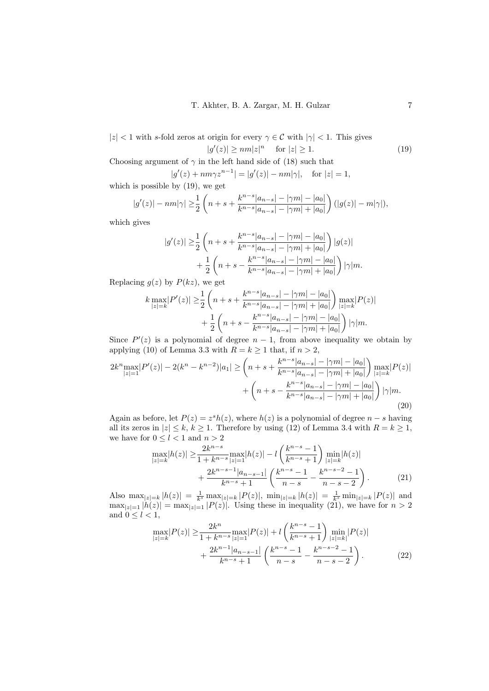$|z|$  < 1 with s-fold zeros at origin for every  $\gamma \in \mathcal{C}$  with  $|\gamma|$  < 1. This gives  $|g'(z)| \ge nm |z|^n$  for  $|z| \ge 1$ . (19)

Choosing argument of  $\gamma$  in the left hand side of [\(18\)](#page-5-1) such that

<span id="page-6-0"></span>
$$
|g'(z) + nm\gamma z^{n-1}| = |g'(z)| - nm|\gamma|
$$
, for  $|z| = 1$ ,

which is possible by [\(19\)](#page-6-0), we get

$$
|g'(z)| - nm|\gamma| \ge \frac{1}{2} \left( n + s + \frac{k^{n-s} |a_{n-s}| - |\gamma m| - |a_0|}{k^{n-s} |a_{n-s}| - |\gamma m| + |a_0|} \right) (|g(z)| - m|\gamma|),
$$

which gives

$$
|g'(z)| \geq \frac{1}{2} \left( n + s + \frac{k^{n-s} |a_{n-s}| - |\gamma m| - |a_0|}{k^{n-s} |a_{n-s}| - |\gamma m| + |a_0|} \right) |g(z)| + \frac{1}{2} \left( n + s - \frac{k^{n-s} |a_{n-s}| - |\gamma m| - |a_0|}{k^{n-s} |a_{n-s}| - |\gamma m| + |a_0|} \right) |\gamma| m.
$$

Replacing  $g(z)$  by  $P(kz)$ , we get

$$
k \max_{|z|=k} |P'(z)| \geq \frac{1}{2} \left( n + s + \frac{k^{n-s} |a_{n-s}| - |\gamma m| - |a_0|}{k^{n-s} |a_{n-s}| - |\gamma m| + |a_0|} \right) \max_{|z|=k} |P(z)| + \frac{1}{2} \left( n + s - \frac{k^{n-s} |a_{n-s}| - |\gamma m| - |a_0|}{k^{n-s} |a_{n-s}| - |\gamma m| + |a_0|} \right) |\gamma| m.
$$

Since  $P'(z)$  is a polynomial of degree  $n-1$ , from above inequality we obtain by applying [\(10\)](#page-3-2) of Lemma [3.3](#page-3-3) with  $R = k \ge 1$  that, if  $n > 2$ ,

$$
2k^{n} \max_{|z|=1} |P'(z)| - 2(k^{n} - k^{n-2})|a_{1}| \geq \left(n + s + \frac{k^{n-s}|a_{n-s}| - |\gamma m| - |a_{0}|}{k^{n-s}|a_{n-s}| - |\gamma m| + |a_{0}|}\right) \max_{|z|=k} |P(z)| + \left(n + s - \frac{k^{n-s}|a_{n-s}| - |\gamma m| - |a_{0}|}{k^{n-s}|a_{n-s}| - |\gamma m| + |a_{0}|}\right) |\gamma|m.
$$
\n(20)

Again as before, let  $P(z) = z<sup>s</sup> h(z)$ , where  $h(z)$  is a polynomial of degree  $n - s$  having all its zeros in  $|z| \leq k, k \geq 1$ . Therefore by using [\(12\)](#page-4-1) of Lemma [3.4](#page-3-4) with  $R = k \geq 1$ , we have for  $0\leq l<1$  and  $n>2$ 

<span id="page-6-3"></span><span id="page-6-1"></span>
$$
\max_{|z|=k} |h(z)| \ge \frac{2k^{n-s}}{1+k^{n-s}} \max_{|z|=1} |h(z)| - l \left( \frac{k^{n-s}-1}{k^{n-s}+1} \right) \min_{|z|=k} |h(z)| + \frac{2k^{n-s-1}|a_{n-s-1}|}{k^{n-s}+1} \left( \frac{k^{n-s}-1}{n-s} - \frac{k^{n-s-2}-1}{n-s-2} \right).
$$
(21)

Also  $\max_{|z|=k} |h(z)| = \frac{1}{k^s} \max_{|z|=k} |P(z)|$ ,  $\min_{|z|=k} |h(z)| = \frac{1}{k^s} \min_{|z|=k} |P(z)|$  and  $\max_{|z|=1} |h(z)| = \max_{|z|=1} |P(z)|$ . Using these in inequality [\(21\)](#page-6-1), we have for  $n > 2$ and  $0 \leq l < 1$ ,

<span id="page-6-2"></span>
$$
\max_{|z|=k} |P(z)| \ge \frac{2k^n}{1+k^{n-s}} \max_{|z|=1} |P(z)| + l \left( \frac{k^{n-s} - 1}{k^{n-s} + 1} \right) \min_{|z|=k} |P(z)| + \frac{2k^{n-1}|a_{n-s-1}|}{k^{n-s} + 1} \left( \frac{k^{n-s} - 1}{n-s} - \frac{k^{n-s-2} - 1}{n-s-2} \right).
$$
 (22)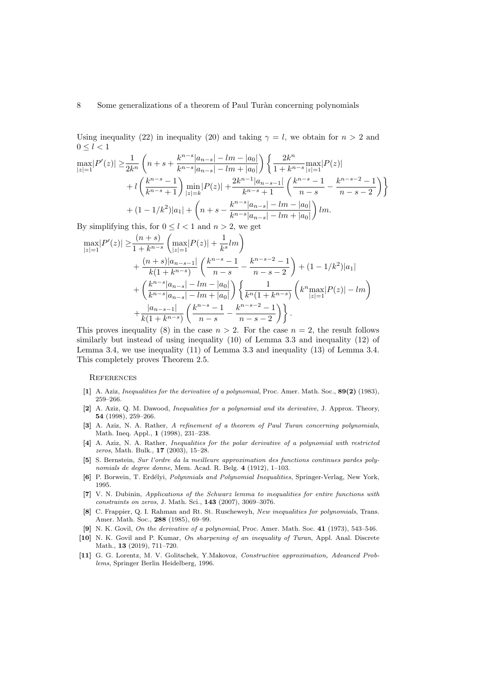Using inequality [\(22\)](#page-6-2) in inequality [\(20\)](#page-6-3) and taking  $\gamma = l$ , we obtain for  $n > 2$  and  $0 \leq l < 1$ 

$$
\max_{|z|=1} |P'(z)| \geq \frac{1}{2k^n} \left( n + s + \frac{k^{n-s}|a_{n-s}| - lm - |a_0|}{k^{n-s}|a_{n-s}| - lm + |a_0|} \right) \left\{ \frac{2k^n}{1 + k^{n-s}|z|=1} p(z) \right\}
$$

$$
+ l \left( \frac{k^{n-s} - 1}{k^{n-s} + 1} \right) \min_{|z|=k} |P(z)| + \frac{2k^{n-1}|a_{n-s-1}|}{k^{n-s} + 1} \left( \frac{k^{n-s} - 1}{n-s} - \frac{k^{n-s-2} - 1}{n-s-2} \right) \right\}
$$

$$
+ (1 - 1/k^2)|a_1| + \left( n + s - \frac{k^{n-s}|a_{n-s}| - lm - |a_0|}{k^{n-s}|a_{n-s}| - lm + |a_0|} \right) lm.
$$

By simplifying this, for  $0 \leq l < 1$  and  $n > 2$ , we get

$$
\max_{|z|=1} |P'(z)| \geq \frac{(n+s)}{1+k^{n-s}} \left( \max_{|z|=1} |P(z)| + \frac{1}{k^s} lm \right)
$$
  
+ 
$$
\frac{(n+s)|a_{n-s-1}|}{k(1+k^{n-s})} \left( \frac{k^{n-s}-1}{n-s} - \frac{k^{n-s-2}-1}{n-s-2} \right) + (1-1/k^2)|a_1|
$$
  
+ 
$$
\left( \frac{k^{n-s}|a_{n-s}| - lm - |a_0|}{k^{n-s}|a_{n-s}| - lm + |a_0|} \right) \left\{ \frac{1}{k^n (1+k^{n-s})} \left( k^n \max_{|z|=1} |P(z)| - lm \right) + \frac{|a_{n-s-1}|}{k(1+k^{n-s})} \left( \frac{k^{n-s}-1}{n-s} - \frac{k^{n-s-2}-1}{n-s-2} \right) \right\}.
$$

This proves inequality [\(8\)](#page-2-3) in the case  $n > 2$ . For the case  $n = 2$ , the result follows similarly but instead of using inequality [\(10\)](#page-3-2) of Lemma [3.3](#page-3-3) and inequality [\(12\)](#page-4-1) of Lemma [3.4,](#page-3-4) we use inequality [\(11\)](#page-3-5) of Lemma [3.3](#page-3-3) and inequality [\(13\)](#page-4-4) of Lemma [3.4.](#page-3-4) This completely proves Theorem [2.5.](#page-2-4)

### **REFERENCES**

- <span id="page-7-4"></span>[1] A. Aziz, Inequalities for the derivative of a polynomial, Proc. Amer. Math. Soc., 89(2) (1983), 259–266.
- [2] A. Aziz, Q. M. Dawood, *Inequalities for a polynomial and its derivative*, J. Approx. Theory, 54 (1998), 259–266.
- <span id="page-7-5"></span>[3] A. Aziz, N. A. Rather, A refinement of a theorem of Paul Turan concerning polynomials, Math. Ineq. Appl., 1 (1998), 231–238.
- <span id="page-7-8"></span>[4] A. Aziz, N. A. Rather, *Inequalities for the polar derivative of a polynomial with restricted* zeros, Math. Bulk., 17 (2003), 15–28.
- <span id="page-7-0"></span>[5] S. Bernstein, Sur l'ordre da la meilleure approximation des functions continues pardes polynomials de degree donne, Mem. Acad. R. Belg. 4 (1912), 1–103.
- <span id="page-7-2"></span>[6] P. Borwein, T. Erdélyi, Polynmials and Polynomial Inequalities, Springer-Verlag, New York, 1995.
- <span id="page-7-6"></span>[7] V. N. Dubinin, Applications of the Schwarz lemma to inequalities for entire functions with constraints on zeros, J. Math. Sci., 143 (2007), 3069–3076.
- <span id="page-7-9"></span>[8] C. Frappier, Q. I. Rahman and Rt. St. Ruscheweyh, New inequalities for polynomials, Trans. Amer. Math. Soc., 288 (1985), 69–99.
- <span id="page-7-3"></span>[9] N. K. Govil, On the derivative of a polynomial, Proc. Amer. Math. Soc. 41 (1973), 543–546.
- <span id="page-7-7"></span>[10] N. K. Govil and P. Kumar, On sharpening of an inequality of Turan, Appl. Anal. Discrete Math., 13 (2019), 711–720.
- <span id="page-7-1"></span>[11] G. G. Lorentz, M. V. Golitschek, Y.Makovoz, Constructive approximation, Advanced Problems, Springer Berlin Heidelberg, 1996.